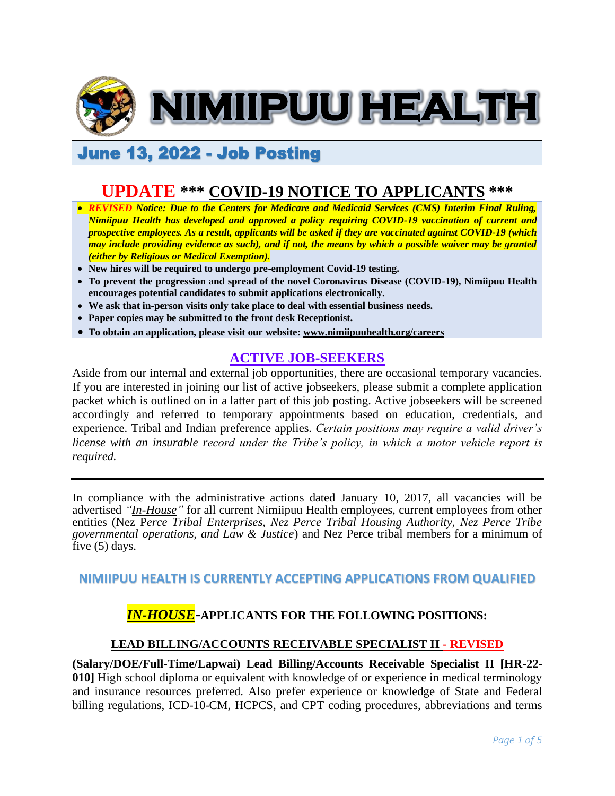

# June 13, 2022 - Job Posting

# **UPDATE \*\*\* COVID-19 NOTICE TO APPLICANTS \*\*\***

- *REVISED Notice: Due to the Centers for Medicare and Medicaid Services (CMS) Interim Final Ruling, Nimiipuu Health has developed and approved a policy requiring COVID-19 vaccination of current and prospective employees. As a result, applicants will be asked if they are vaccinated against COVID-19 (which may include providing evidence as such), and if not, the means by which a possible waiver may be granted (either by Religious or Medical Exemption).*
- **New hires will be required to undergo pre-employment Covid-19 testing.**
- **To prevent the progression and spread of the novel Coronavirus Disease (COVID-19), Nimiipuu Health encourages potential candidates to submit applications electronically.**
- **We ask that in-person visits only take place to deal with essential business needs.**
- **Paper copies may be submitted to the front desk Receptionist.**
- **To obtain an application, please visit our website: [www.nimiipuuhealth.org/careers](http://www.nimiipuuhealth.org/careers)**

## **ACTIVE JOB-SEEKERS**

Aside from our internal and external job opportunities, there are occasional temporary vacancies. If you are interested in joining our list of active jobseekers, please submit a complete application packet which is outlined on in a latter part of this job posting. Active jobseekers will be screened accordingly and referred to temporary appointments based on education, credentials, and experience. Tribal and Indian preference applies. *Certain positions may require a valid driver's license with an insurable record under the Tribe's policy, in which a motor vehicle report is required.*

In compliance with the administrative actions dated January 10, 2017, all vacancies will be advertised *"In-House"* for all current Nimiipuu Health employees, current employees from other entities (Nez P*erce Tribal Enterprises, Nez Perce Tribal Housing Authority, Nez Perce Tribe governmental operations, and Law & Justice*) and Nez Perce tribal members for a minimum of five (5) days.

## **NIMIIPUU HEALTH IS CURRENTLY ACCEPTING APPLICATIONS FROM QUALIFIED**

## *IN-HOUSE***-APPLICANTS FOR THE FOLLOWING POSITIONS:**

## **LEAD BILLING/ACCOUNTS RECEIVABLE SPECIALIST II - REVISED**

**(Salary/DOE/Full-Time/Lapwai) Lead Billing/Accounts Receivable Specialist II [HR-22- 010]** High school diploma or equivalent with knowledge of or experience in medical terminology and insurance resources preferred. Also prefer experience or knowledge of State and Federal billing regulations, ICD-10-CM, HCPCS, and CPT coding procedures, abbreviations and terms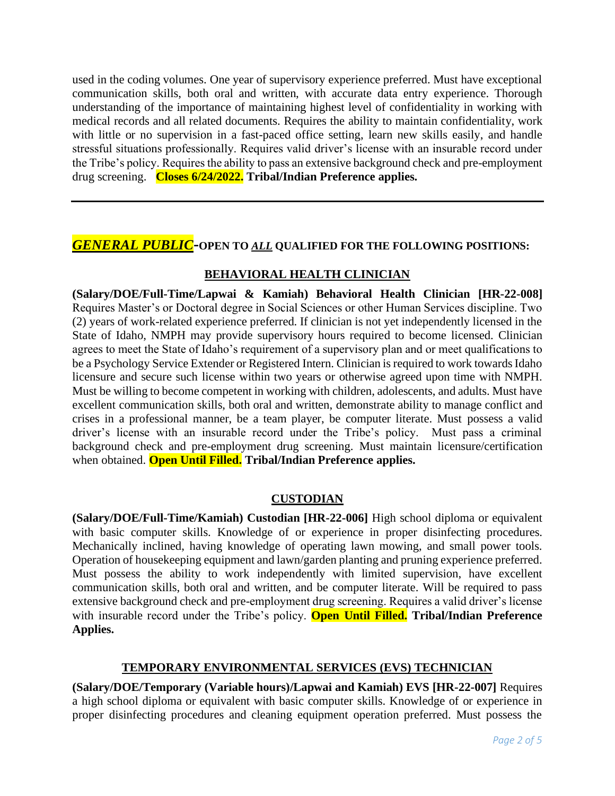used in the coding volumes. One year of supervisory experience preferred. Must have exceptional communication skills, both oral and written, with accurate data entry experience. Thorough understanding of the importance of maintaining highest level of confidentiality in working with medical records and all related documents. Requires the ability to maintain confidentiality, work with little or no supervision in a fast-paced office setting, learn new skills easily, and handle stressful situations professionally. Requires valid driver's license with an insurable record under the Tribe's policy. Requires the ability to pass an extensive background check and pre-employment drug screening. **Closes 6/24/2022. Tribal/Indian Preference applies.**

## *GENERAL PUBLIC***-OPEN TO** *ALL* **QUALIFIED FOR THE FOLLOWING POSITIONS:**

## **BEHAVIORAL HEALTH CLINICIAN**

**(Salary/DOE/Full-Time/Lapwai & Kamiah) Behavioral Health Clinician [HR-22-008]** Requires Master's or Doctoral degree in Social Sciences or other Human Services discipline. Two (2) years of work-related experience preferred. If clinician is not yet independently licensed in the State of Idaho, NMPH may provide supervisory hours required to become licensed. Clinician agrees to meet the State of Idaho's requirement of a supervisory plan and or meet qualifications to be a Psychology Service Extender or Registered Intern. Clinician is required to work towards Idaho licensure and secure such license within two years or otherwise agreed upon time with NMPH. Must be willing to become competent in working with children, adolescents, and adults. Must have excellent communication skills, both oral and written, demonstrate ability to manage conflict and crises in a professional manner, be a team player, be computer literate. Must possess a valid driver's license with an insurable record under the Tribe's policy. Must pass a criminal background check and pre-employment drug screening. Must maintain licensure/certification when obtained. **Open Until Filled. Tribal/Indian Preference applies.**

#### **CUSTODIAN**

**(Salary/DOE/Full-Time/Kamiah) Custodian [HR-22-006]** High school diploma or equivalent with basic computer skills. Knowledge of or experience in proper disinfecting procedures. Mechanically inclined, having knowledge of operating lawn mowing, and small power tools. Operation of housekeeping equipment and lawn/garden planting and pruning experience preferred. Must possess the ability to work independently with limited supervision, have excellent communication skills, both oral and written, and be computer literate. Will be required to pass extensive background check and pre-employment drug screening. Requires a valid driver's license with insurable record under the Tribe's policy. **Open Until Filled. Tribal/Indian Preference Applies.**

#### **TEMPORARY ENVIRONMENTAL SERVICES (EVS) TECHNICIAN**

**(Salary/DOE/Temporary (Variable hours)/Lapwai and Kamiah) EVS [HR-22-007]** Requires a high school diploma or equivalent with basic computer skills. Knowledge of or experience in proper disinfecting procedures and cleaning equipment operation preferred. Must possess the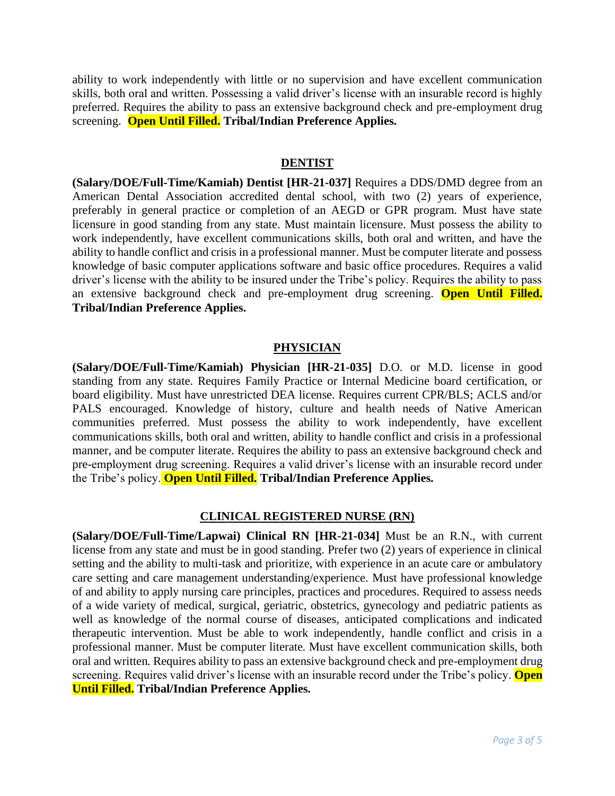ability to work independently with little or no supervision and have excellent communication skills, both oral and written. Possessing a valid driver's license with an insurable record is highly preferred. Requires the ability to pass an extensive background check and pre-employment drug screening. **Open Until Filled. Tribal/Indian Preference Applies.**

#### **DENTIST**

**(Salary/DOE/Full-Time/Kamiah) Dentist [HR-21-037]** Requires a DDS/DMD degree from an American Dental Association accredited dental school, with two (2) years of experience, preferably in general practice or completion of an AEGD or GPR program. Must have state licensure in good standing from any state. Must maintain licensure. Must possess the ability to work independently, have excellent communications skills, both oral and written, and have the ability to handle conflict and crisis in a professional manner. Must be computer literate and possess knowledge of basic computer applications software and basic office procedures. Requires a valid driver's license with the ability to be insured under the Tribe's policy. Requires the ability to pass an extensive background check and pre-employment drug screening. **Open Until Filled. Tribal/Indian Preference Applies.**

#### **PHYSICIAN**

**(Salary/DOE/Full-Time/Kamiah) Physician [HR-21-035]** D.O. or M.D. license in good standing from any state. Requires Family Practice or Internal Medicine board certification, or board eligibility. Must have unrestricted DEA license. Requires current CPR/BLS; ACLS and/or PALS encouraged. Knowledge of history, culture and health needs of Native American communities preferred. Must possess the ability to work independently, have excellent communications skills, both oral and written, ability to handle conflict and crisis in a professional manner, and be computer literate. Requires the ability to pass an extensive background check and pre-employment drug screening. Requires a valid driver's license with an insurable record under the Tribe's policy. **Open Until Filled. Tribal/Indian Preference Applies.**

#### **CLINICAL REGISTERED NURSE (RN)**

**(Salary/DOE/Full-Time/Lapwai) Clinical RN [HR-21-034]** Must be an R.N., with current license from any state and must be in good standing. Prefer two (2) years of experience in clinical setting and the ability to multi-task and prioritize, with experience in an acute care or ambulatory care setting and care management understanding/experience. Must have professional knowledge of and ability to apply nursing care principles, practices and procedures. Required to assess needs of a wide variety of medical, surgical, geriatric, obstetrics, gynecology and pediatric patients as well as knowledge of the normal course of diseases, anticipated complications and indicated therapeutic intervention. Must be able to work independently, handle conflict and crisis in a professional manner. Must be computer literate. Must have excellent communication skills, both oral and written. Requires ability to pass an extensive background check and pre-employment drug screening. Requires valid driver's license with an insurable record under the Tribe's policy. **Open Until Filled. Tribal/Indian Preference Applies.**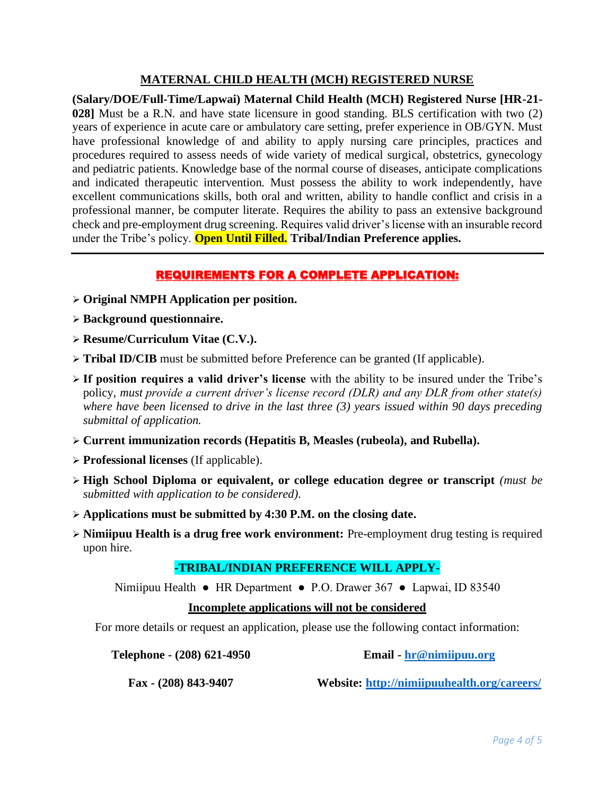## **MATERNAL CHILD HEALTH (MCH) REGISTERED NURSE**

**(Salary/DOE/Full-Time/Lapwai) Maternal Child Health (MCH) Registered Nurse [HR-21- 028]** Must be a R.N. and have state licensure in good standing. BLS certification with two (2) years of experience in acute care or ambulatory care setting, prefer experience in OB/GYN. Must have professional knowledge of and ability to apply nursing care principles, practices and procedures required to assess needs of wide variety of medical surgical, obstetrics, gynecology and pediatric patients. Knowledge base of the normal course of diseases, anticipate complications and indicated therapeutic intervention. Must possess the ability to work independently, have excellent communications skills, both oral and written, ability to handle conflict and crisis in a professional manner, be computer literate. Requires the ability to pass an extensive background check and pre-employment drug screening. Requires valid driver's license with an insurable record under the Tribe's policy. **Open Until Filled. Tribal/Indian Preference applies.**

## REQUIREMENTS FOR A COMPLETE APPLICATION:

- ➢ **Original NMPH Application per position.**
- ➢ **Background questionnaire.**
- ➢ **Resume/Curriculum Vitae (C.V.).**
- ➢ **Tribal ID/CIB** must be submitted before Preference can be granted (If applicable).
- ➢ **If position requires a valid driver's license** with the ability to be insured under the Tribe's policy, *must provide a current driver's license record (DLR) and any DLR from other state(s) where have been licensed to drive in the last three (3) years issued within 90 days preceding submittal of application.*
- ➢ **Current immunization records (Hepatitis B, Measles (rubeola), and Rubella).**
- ➢ **Professional licenses** (If applicable).
- ➢ **High School Diploma or equivalent, or college education degree or transcript** *(must be submitted with application to be considered).*
- ➢ **Applications must be submitted by 4:30 P.M. on the closing date.**
- ➢ **Nimiipuu Health is a drug free work environment:** Pre-employment drug testing is required upon hire.

## **-TRIBAL/INDIAN PREFERENCE WILL APPLY-**

Nimiipuu Health ● HR Department ● P.O. Drawer 367 ● Lapwai, ID 83540

#### **Incomplete applications will not be considered**

For more details or request an application, please use the following contact information:

**Telephone - (208) 621-4950**

**Email - [hr@nimiipuu.org](mailto:hr@nimiipuu.org)**

**Fax - (208) 843-9407**

**Website:<http://nimiipuuhealth.org/careers/>**